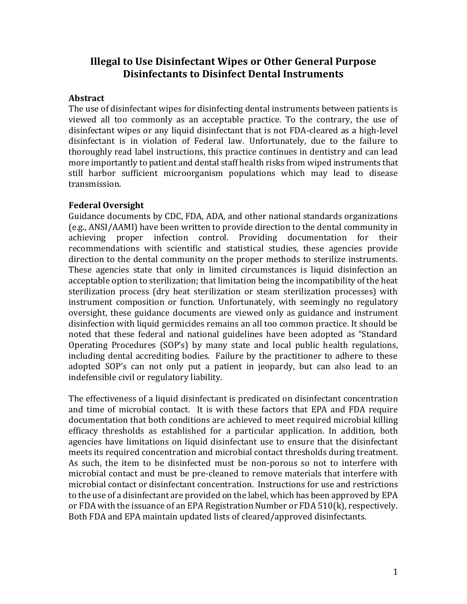# **Illegal to Use Disinfectant Wipes or Other General Purpose Disinfectants to Disinfect Dental Instruments**

### **Abstract**

The use of disinfectant wipes for disinfecting dental instruments between patients is viewed all too commonly as an acceptable practice. To the contrary, the use of disinfectant wipes or any liquid disinfectant that is not FDA-cleared as a high-level disinfectant is in violation of Federal law. Unfortunately, due to the failure to thoroughly read label instructions, this practice continues in dentistry and can lead more importantly to patient and dental staff health risks from wiped instruments that still harbor sufficient microorganism populations which may lead to disease transmission.

## **Federal Oversight**

Guidance documents by CDC, FDA, ADA, and other national standards organizations (e.g., ANSI/AAMI) have been written to provide direction to the dental community in achieving proper infection control. Providing documentation for their recommendations with scientific and statistical studies, these agencies provide direction to the dental community on the proper methods to sterilize instruments. These agencies state that only in limited circumstances is liquid disinfection an acceptable option to sterilization; that limitation being the incompatibility of the heat sterilization process (dry heat sterilization or steam sterilization processes) with instrument composition or function. Unfortunately, with seemingly no regulatory oversight, these guidance documents are viewed only as guidance and instrument disinfection with liquid germicides remains an all too common practice. It should be noted that these federal and national guidelines have been adopted as "Standard Operating Procedures (SOP's) by many state and local public health regulations, including dental accrediting bodies. Failure by the practitioner to adhere to these adopted SOP's can not only put a patient in jeopardy, but can also lead to an indefensible civil or regulatory liability.

The effectiveness of a liquid disinfectant is predicated on disinfectant concentration and time of microbial contact. It is with these factors that EPA and FDA require documentation that both conditions are achieved to meet required microbial killing efficacy thresholds as established for a particular application. In addition, both agencies have limitations on liquid disinfectant use to ensure that the disinfectant meets its required concentration and microbial contact thresholds during treatment. As such, the item to be disinfected must be non-porous so not to interfere with microbial contact and must be pre-cleaned to remove materials that interfere with microbial contact or disinfectant concentration. Instructions for use and restrictions to the use of a disinfectant are provided on the label, which has been approved by EPA or FDA with the issuance of an EPA Registration Number or FDA 510(k), respectively. Both FDA and EPA maintain updated lists of cleared/approved disinfectants.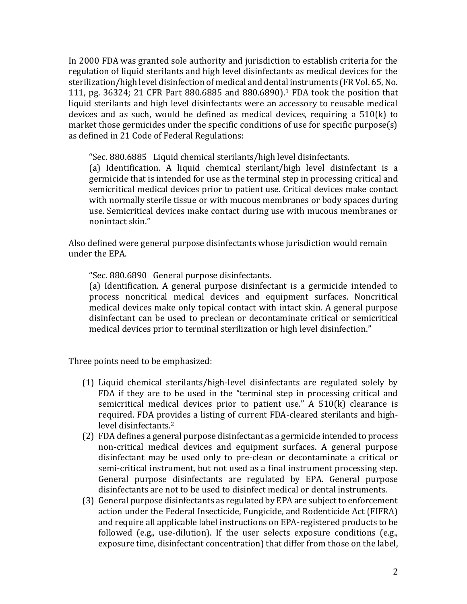In 2000 FDA was granted sole authority and jurisdiction to establish criteria for the regulation of liquid sterilants and high level disinfectants as medical devices for the sterilization/high level disinfection of medical and dental instruments (FR Vol. 65, No. 111, pg. 36324; 21 CFR Part 880.6885 and 880.6890).<sup>1</sup> FDA took the position that liquid sterilants and high level disinfectants were an accessory to reusable medical devices and as such, would be defined as medical devices, requiring a 510(k) to market those germicides under the specific conditions of use for specific purpose(s) as defined in 21 Code of Federal Regulations:

"Sec. 880.6885 Liquid chemical sterilants/high level disinfectants.

(a) Identification. A liquid chemical sterilant/high level disinfectant is a germicide that is intended for use as the terminal step in processing critical and semicritical medical devices prior to patient use. Critical devices make contact with normally sterile tissue or with mucous membranes or body spaces during use. Semicritical devices make contact during use with mucous membranes or nonintact skin."

Also defined were general purpose disinfectants whose jurisdiction would remain under the EPA.

"Sec. 880.6890 General purpose disinfectants.

(a) Identification. A general purpose disinfectant is a germicide intended to process noncritical medical devices and equipment surfaces. Noncritical medical devices make only topical contact with intact skin. A general purpose disinfectant can be used to preclean or decontaminate critical or semicritical medical devices prior to terminal sterilization or high level disinfection."

Three points need to be emphasized:

- (1) Liquid chemical sterilants/high-level disinfectants are regulated solely by FDA if they are to be used in the "terminal step in processing critical and semicritical medical devices prior to patient use." A 510(k) clearance is required. FDA provides a listing of current FDA-cleared sterilants and highlevel disinfectants.<sup>2</sup>
- (2) FDA defines a general purpose disinfectant as a germicide intended to process non-critical medical devices and equipment surfaces. A general purpose disinfectant may be used only to pre-clean or decontaminate a critical or semi-critical instrument, but not used as a final instrument processing step. General purpose disinfectants are regulated by EPA. General purpose disinfectants are not to be used to disinfect medical or dental instruments.
- (3) General purpose disinfectants as regulated by EPA are subject to enforcement action under the Federal Insecticide, Fungicide, and Rodenticide Act (FIFRA) and require all applicable label instructions on EPA-registered products to be followed (e.g., use-dilution). If the user selects exposure conditions (e.g., exposure time, disinfectant concentration) that differ from those on the label,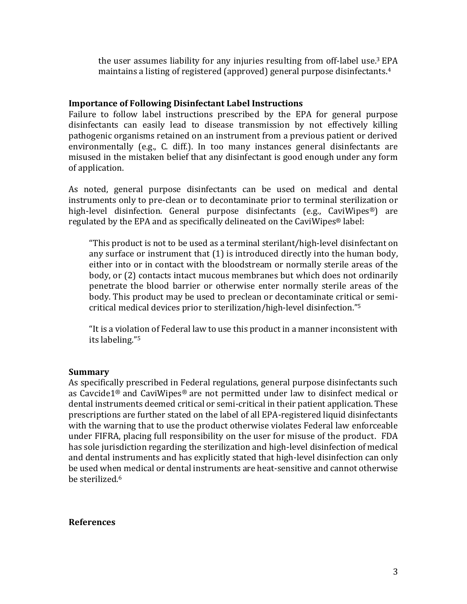the user assumes liability for any injuries resulting from off-label use.<sup>3</sup> EPA maintains a listing of registered (approved) general purpose disinfectants.<sup>4</sup>

### **Importance of Following Disinfectant Label Instructions**

Failure to follow label instructions prescribed by the EPA for general purpose disinfectants can easily lead to disease transmission by not effectively killing pathogenic organisms retained on an instrument from a previous patient or derived environmentally (e.g., C. diff.). In too many instances general disinfectants are misused in the mistaken belief that any disinfectant is good enough under any form of application.

As noted, general purpose disinfectants can be used on medical and dental instruments only to pre-clean or to decontaminate prior to terminal sterilization or high-level disinfection. General purpose disinfectants (e.g., CaviWipes<sup>®</sup>) are regulated by the EPA and as specifically delineated on the CaviWipes® label:

"This product is not to be used as a terminal sterilant/high-level disinfectant on any surface or instrument that (1) is introduced directly into the human body, either into or in contact with the bloodstream or normally sterile areas of the body, or (2) contacts intact mucous membranes but which does not ordinarily penetrate the blood barrier or otherwise enter normally sterile areas of the body. This product may be used to preclean or decontaminate critical or semicritical medical devices prior to sterilization/high-level disinfection." 5

"It is a violation of Federal law to use this product in a manner inconsistent with its labeling."<sup>5</sup>

#### **Summary**

As specifically prescribed in Federal regulations, general purpose disinfectants such as Cavcide1® and CaviWipes® are not permitted under law to disinfect medical or dental instruments deemed critical or semi-critical in their patient application. These prescriptions are further stated on the label of all EPA-registered liquid disinfectants with the warning that to use the product otherwise violates Federal law enforceable under FIFRA, placing full responsibility on the user for misuse of the product. FDA has sole jurisdiction regarding the sterilization and high-level disinfection of medical and dental instruments and has explicitly stated that high-level disinfection can only be used when medical or dental instruments are heat-sensitive and cannot otherwise be sterilized.<sup>6</sup>

#### **References**